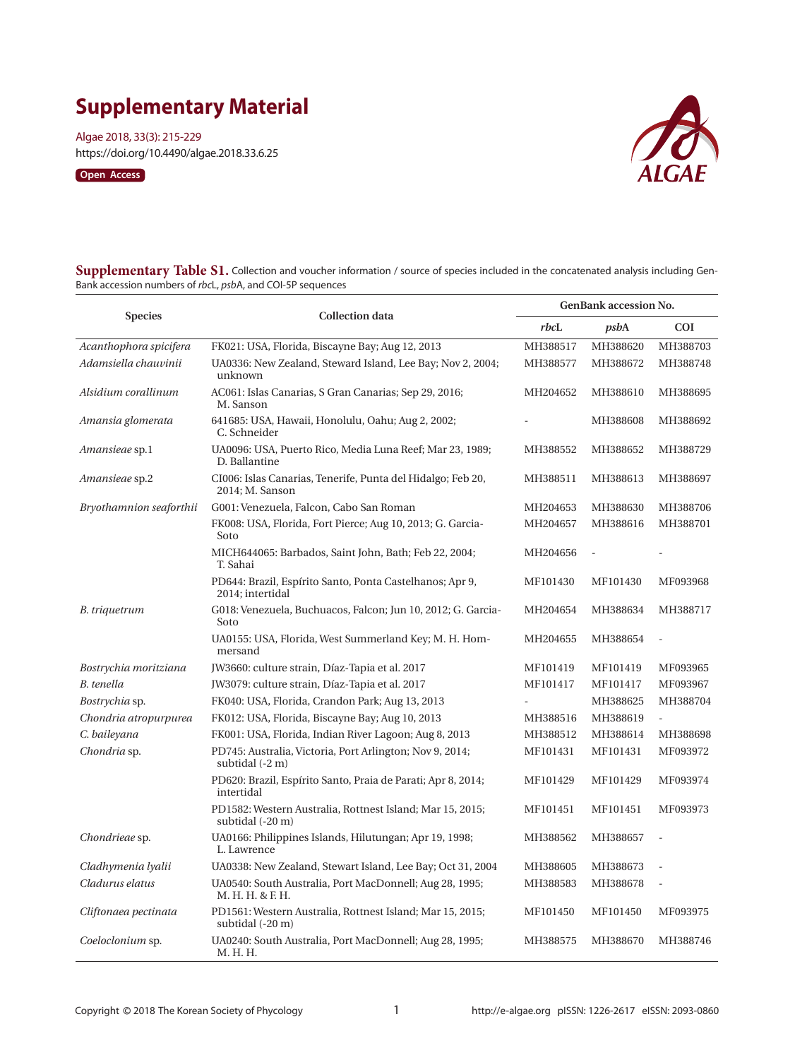# **Supplementary Material**

Algae 2018, 33(3): 215-229 https://doi.org/10.4490/algae.2018.33.6.25





**Supplementary Table S1.** Collection and voucher information / source of species included in the concatenated analysis including Gen-Bank accession numbers of *rbc*L, *psb*A, and COI-5P sequences

| <b>Species</b>          | <b>Collection data</b>                                                         | <b>GenBank accession No.</b> |                |                          |
|-------------------------|--------------------------------------------------------------------------------|------------------------------|----------------|--------------------------|
|                         |                                                                                | rbcL                         | psbA           | <b>COI</b>               |
| Acanthophora spicifera  | FK021: USA, Florida, Biscayne Bay; Aug 12, 2013                                | MH388517                     | MH388620       | MH388703                 |
| Adamsiella chauvinii    | UA0336: New Zealand, Steward Island, Lee Bay; Nov 2, 2004;<br>unknown          | MH388577                     | MH388672       | MH388748                 |
| Alsidium corallinum     | AC061: Islas Canarias, S Gran Canarias; Sep 29, 2016;<br>M. Sanson             | MH204652                     | MH388610       | MH388695                 |
| Amansia glomerata       | 641685: USA, Hawaii, Honolulu, Oahu; Aug 2, 2002;<br>C. Schneider              |                              | MH388608       | MH388692                 |
| Amansieae sp.1          | UA0096: USA, Puerto Rico, Media Luna Reef; Mar 23, 1989;<br>D. Ballantine      | MH388552                     | MH388652       | MH388729                 |
| Amansieae sp.2          | CI006: Islas Canarias, Tenerife, Punta del Hidalgo; Feb 20,<br>2014; M. Sanson | MH388511                     | MH388613       | MH388697                 |
| Bryothamnion seaforthii | G001: Venezuela, Falcon, Cabo San Roman                                        | MH204653                     | MH388630       | MH388706                 |
|                         | FK008: USA, Florida, Fort Pierce; Aug 10, 2013; G. Garcia-<br>Soto             | MH204657                     | MH388616       | MH388701                 |
|                         | MICH644065: Barbados, Saint John, Bath; Feb 22, 2004;<br>T. Sahai              | MH204656                     | $\overline{a}$ |                          |
|                         | PD644: Brazil, Espírito Santo, Ponta Castelhanos; Apr 9,<br>2014; intertidal   | MF101430                     | MF101430       | MF093968                 |
| B. triquetrum           | G018: Venezuela, Buchuacos, Falcon; Jun 10, 2012; G. Garcia-<br>Soto           | MH204654                     | MH388634       | MH388717                 |
|                         | UA0155: USA, Florida, West Summerland Key; M. H. Hom-<br>mersand               | MH204655                     | MH388654       | $\overline{\phantom{a}}$ |
| Bostrychia moritziana   | JW3660: culture strain, Díaz-Tapia et al. 2017                                 | MF101419                     | MF101419       | MF093965                 |
| B. tenella              | JW3079: culture strain, Díaz-Tapia et al. 2017                                 | MF101417                     | MF101417       | MF093967                 |
| Bostrychia sp.          | FK040: USA, Florida, Crandon Park; Aug 13, 2013                                |                              | MH388625       | MH388704                 |
| Chondria atropurpurea   | FK012: USA, Florida, Biscayne Bay; Aug 10, 2013                                | MH388516                     | MH388619       |                          |
| C. baileyana            | FK001: USA, Florida, Indian River Lagoon; Aug 8, 2013                          | MH388512                     | MH388614       | MH388698                 |
| Chondria sp.            | PD745: Australia, Victoria, Port Arlington; Nov 9, 2014;<br>subtidal (-2 m)    | MF101431                     | MF101431       | MF093972                 |
|                         | PD620: Brazil, Espírito Santo, Praia de Parati; Apr 8, 2014;<br>intertidal     | MF101429                     | MF101429       | MF093974                 |
|                         | PD1582: Western Australia, Rottnest Island; Mar 15, 2015;<br>subtidal (-20 m)  | MF101451                     | MF101451       | MF093973                 |
| <i>Chondrieae</i> sp.   | UA0166: Philippines Islands, Hilutungan; Apr 19, 1998;<br>L. Lawrence          | MH388562                     | MH388657       |                          |
| Cladhymenia lyalii      | UA0338: New Zealand, Stewart Island, Lee Bay; Oct 31, 2004                     | MH388605                     | MH388673       |                          |
| Cladurus elatus         | UA0540: South Australia, Port MacDonnell; Aug 28, 1995;<br>M. H. H. & F. H.    | MH388583                     | MH388678       |                          |
| Cliftonaea pectinata    | PD1561: Western Australia, Rottnest Island; Mar 15, 2015;<br>subtidal (-20 m)  | MF101450                     | MF101450       | MF093975                 |
| Coeloclonium sp.        | UA0240: South Australia, Port MacDonnell; Aug 28, 1995;<br>M. H. H.            | MH388575                     | MH388670       | MH388746                 |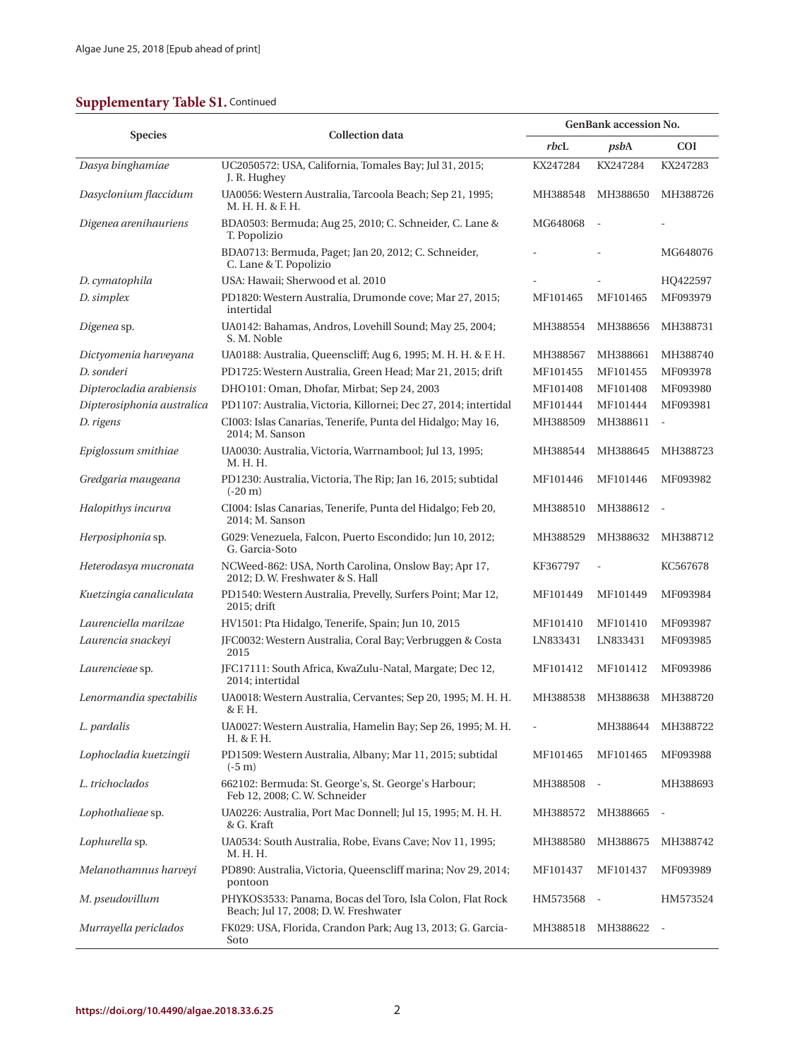## **Supplementary Table S1. Continued**

| <b>Species</b>             | <b>Collection</b> data                                                                            | <b>GenBank accession No.</b> |          |                          |
|----------------------------|---------------------------------------------------------------------------------------------------|------------------------------|----------|--------------------------|
|                            |                                                                                                   | rbcL                         | psbA     | <b>COI</b>               |
| Dasya binghamiae           | UC2050572: USA, California, Tomales Bay; Jul 31, 2015;<br>J. R. Hughey                            | KX247284                     | KX247284 | KX247283                 |
| Dasyclonium flaccidum      | UA0056: Western Australia, Tarcoola Beach; Sep 21, 1995;<br>M. H. H. & F. H.                      | MH388548                     | MH388650 | MH388726                 |
| Digenea arenihauriens      | BDA0503: Bermuda; Aug 25, 2010; C. Schneider, C. Lane &<br>T. Popolizio                           | MG648068                     |          |                          |
|                            | BDA0713: Bermuda, Paget; Jan 20, 2012; C. Schneider,<br>C. Lane & T. Popolizio                    |                              |          | MG648076                 |
| D. cymatophila             | USA: Hawaii; Sherwood et al. 2010                                                                 |                              |          | HQ422597                 |
| D. simplex                 | PD1820: Western Australia, Drumonde cove; Mar 27, 2015;<br>intertidal                             | MF101465                     | MF101465 | MF093979                 |
| Digenea sp.                | UA0142: Bahamas, Andros, Lovehill Sound; May 25, 2004;<br>S. M. Noble                             | MH388554                     | MH388656 | MH388731                 |
| Dictyomenia harveyana      | UA0188: Australia, Queenscliff; Aug 6, 1995; M. H. H. & F. H.                                     | MH388567                     | MH388661 | MH388740                 |
| D. sonderi                 | PD1725: Western Australia, Green Head; Mar 21, 2015; drift                                        | MF101455                     | MF101455 | MF093978                 |
| Dipterocladia arabiensis   | DHO101: Oman, Dhofar, Mirbat; Sep 24, 2003                                                        | MF101408                     | MF101408 | MF093980                 |
| Dipterosiphonia australica | PD1107: Australia, Victoria, Killornei; Dec 27, 2014; intertidal                                  | MF101444                     | MF101444 | MF093981                 |
| D. rigens                  | CI003: Islas Canarias, Tenerife, Punta del Hidalgo; May 16,<br>2014; M. Sanson                    | MH388509                     | MH388611 | $\overline{\phantom{a}}$ |
| Epiglossum smithiae        | UA0030: Australia, Victoria, Warrnambool; Jul 13, 1995;<br>M. H. H.                               | MH388544                     | MH388645 | MH388723                 |
| Gredgaria maugeana         | PD1230: Australia, Victoria, The Rip; Jan 16, 2015; subtidal<br>$(-20 \text{ m})$                 | MF101446                     | MF101446 | MF093982                 |
| Halopithys incurva         | CI004: Islas Canarias, Tenerife, Punta del Hidalgo; Feb 20,<br>2014; M. Sanson                    | MH388510                     | MH388612 | $\overline{\phantom{a}}$ |
| Herposiphonia sp.          | G029: Venezuela, Falcon, Puerto Escondido; Jun 10, 2012;<br>G. Garcia-Soto                        | MH388529                     | MH388632 | MH388712                 |
| Heterodasya mucronata      | NCWeed-862: USA, North Carolina, Onslow Bay; Apr 17,<br>2012; D.W. Freshwater & S. Hall           | KF367797                     |          | KC567678                 |
| Kuetzingia canaliculata    | PD1540: Western Australia, Prevelly, Surfers Point; Mar 12,<br>2015; drift                        | MF101449                     | MF101449 | MF093984                 |
| Laurenciella marilzae      | HV1501: Pta Hidalgo, Tenerife, Spain; Jun 10, 2015                                                | MF101410                     | MF101410 | MF093987                 |
| Laurencia snackeyi         | JFC0032: Western Australia, Coral Bay; Verbruggen & Costa<br>2015                                 | LN833431                     | LN833431 | MF093985                 |
| Laurencieae sp.            | JFC17111: South Africa, KwaZulu-Natal, Margate; Dec 12,<br>2014; intertidal                       | MF101412                     | MF101412 | MF093986                 |
| Lenormandia spectabilis    | UA0018: Western Australia, Cervantes; Sep 20, 1995; M. H. H.<br>& F. H.                           | MH388538                     | MH388638 | MH388720                 |
| L. pardalis                | UA0027: Western Australia, Hamelin Bay; Sep 26, 1995; M. H.<br>H. & F. H.                         |                              | MH388644 | MH388722                 |
| Lophocladia kuetzingii     | PD1509: Western Australia, Albany; Mar 11, 2015; subtidal<br>$(-5 \text{ m})$                     | MF101465                     | MF101465 | MF093988                 |
| L. trichoclados            | 662102: Bermuda: St. George's, St. George's Harbour;<br>Feb 12, 2008; C. W. Schneider             | MH388508                     |          | MH388693                 |
| Lophothalieae sp.          | UA0226: Australia, Port Mac Donnell; Jul 15, 1995; M. H. H.<br>& G. Kraft                         | MH388572                     | MH388665 |                          |
| Lophurella sp.             | UA0534: South Australia, Robe, Evans Cave; Nov 11, 1995;<br>M. H. H.                              | MH388580                     | MH388675 | MH388742                 |
| Melanothamnus harveyi      | PD890: Australia, Victoria, Queenscliff marina; Nov 29, 2014;<br>pontoon                          | MF101437                     | MF101437 | MF093989                 |
| M. pseudovillum            | PHYKOS3533: Panama, Bocas del Toro, Isla Colon, Flat Rock<br>Beach; Jul 17, 2008; D.W. Freshwater | HM573568                     |          | HM573524                 |
| Murrayella periclados      | FK029: USA, Florida, Crandon Park; Aug 13, 2013; G. Garcia-<br>Soto                               | MH388518                     | MH388622 |                          |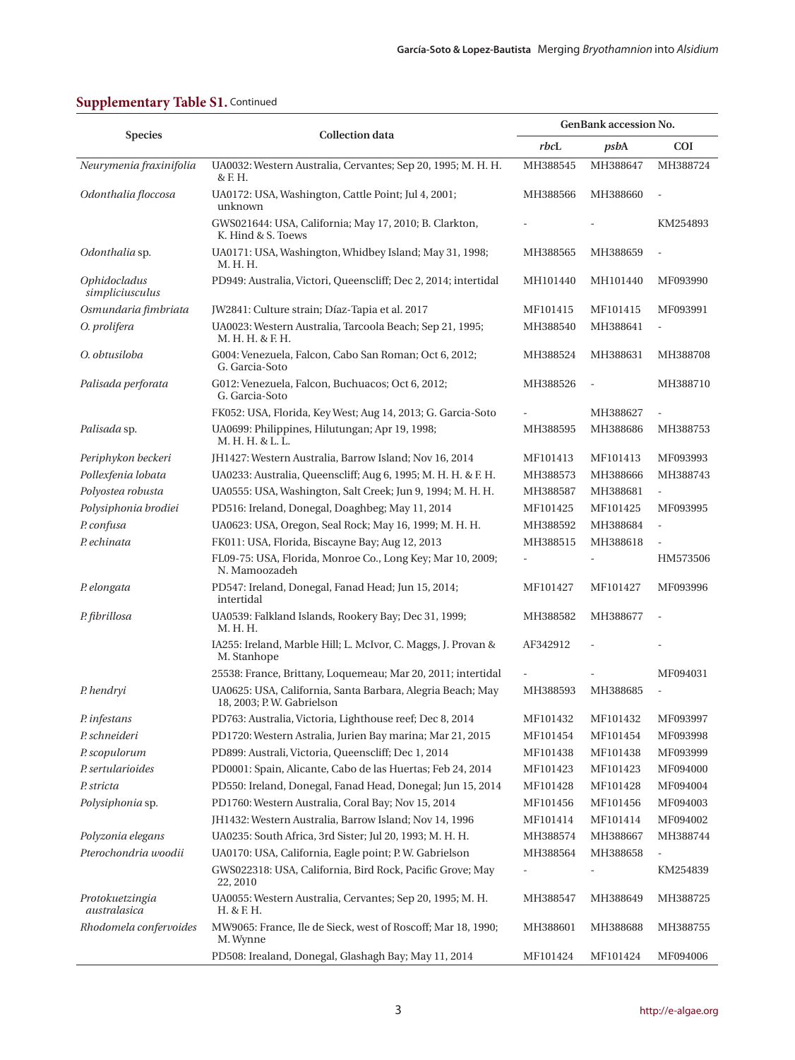|                                               | <b>Collection</b> data                                                                  | <b>GenBank accession No.</b> |          |                              |
|-----------------------------------------------|-----------------------------------------------------------------------------------------|------------------------------|----------|------------------------------|
| <b>Species</b>                                |                                                                                         | rbcL                         | psbA     | <b>COI</b>                   |
| Neurymenia fraxinifolia                       | UA0032: Western Australia, Cervantes; Sep 20, 1995; M. H. H.<br>& F. H.                 | MH388545                     | MH388647 | MH388724                     |
| Odonthalia floccosa                           | UA0172: USA, Washington, Cattle Point; Jul 4, 2001;<br>unknown                          | MH388566                     | MH388660 |                              |
|                                               | GWS021644: USA, California; May 17, 2010; B. Clarkton,<br>K. Hind & S. Toews            |                              |          | KM254893                     |
| Odonthalia sp.                                | UA0171: USA, Washington, Whidbey Island; May 31, 1998;<br>M. H. H.                      | MH388565                     | MH388659 |                              |
| <i><b>Ophidocladus</b></i><br>simpliciusculus | PD949: Australia, Victori, Queenscliff; Dec 2, 2014; intertidal                         | MH101440                     | MH101440 | MF093990                     |
| Osmundaria fimbriata                          | JW2841: Culture strain; Díaz-Tapia et al. 2017                                          | MF101415                     | MF101415 | MF093991                     |
| O. prolifera                                  | UA0023: Western Australia, Tarcoola Beach; Sep 21, 1995;<br>M. H. H. & F. H.            | MH388540                     | MH388641 | $\blacksquare$               |
| O. obtusiloba                                 | G004: Venezuela, Falcon, Cabo San Roman; Oct 6, 2012;<br>G. Garcia-Soto                 | MH388524                     | MH388631 | MH388708                     |
| Palisada perforata                            | G012: Venezuela, Falcon, Buchuacos; Oct 6, 2012;<br>G. Garcia-Soto                      | MH388526                     | $\sim$   | MH388710                     |
|                                               | FK052: USA, Florida, Key West; Aug 14, 2013; G. Garcia-Soto                             |                              | MH388627 |                              |
| Palisada sp.                                  | UA0699: Philippines, Hilutungan; Apr 19, 1998;<br>M. H. H. & L. L.                      | MH388595                     | MH388686 | MH388753                     |
| Periphykon beckeri                            | JH1427: Western Australia, Barrow Island; Nov 16, 2014                                  | MF101413                     | MF101413 | MF093993                     |
| Pollexfenia lobata                            | UA0233: Australia, Queenscliff; Aug 6, 1995; M. H. H. & F. H.                           | MH388573                     | MH388666 | MH388743                     |
| Polyostea robusta                             | UA0555: USA, Washington, Salt Creek; Jun 9, 1994; M. H. H.                              | MH388587                     | MH388681 | $\overline{\phantom{a}}$     |
| Polysiphonia brodiei                          | PD516: Ireland, Donegal, Doaghbeg; May 11, 2014                                         | MF101425                     | MF101425 | MF093995                     |
| P. confusa                                    | UA0623: USA, Oregon, Seal Rock; May 16, 1999; M. H. H.                                  | MH388592                     | MH388684 |                              |
| P. echinata                                   | FK011: USA, Florida, Biscayne Bay; Aug 12, 2013                                         | MH388515                     | MH388618 |                              |
|                                               | FL09-75: USA, Florida, Monroe Co., Long Key; Mar 10, 2009;<br>N. Mamoozadeh             |                              |          | HM573506                     |
| P. elongata                                   | PD547: Ireland, Donegal, Fanad Head; Jun 15, 2014;<br>intertidal                        | MF101427                     | MF101427 | MF093996                     |
| P. fibrillosa                                 | UA0539: Falkland Islands, Rookery Bay; Dec 31, 1999;<br>M. H. H.                        | MH388582                     | MH388677 |                              |
|                                               | IA255: Ireland, Marble Hill; L. McIvor, C. Maggs, J. Provan &<br>M. Stanhope            | AF342912                     |          |                              |
|                                               | 25538: France, Brittany, Loquemeau; Mar 20, 2011; intertidal                            |                              |          | MF094031                     |
| P. hendryi                                    | UA0625: USA, California, Santa Barbara, Alegria Beach; May<br>18, 2003; P.W. Gabrielson | MH388593                     | MH388685 |                              |
| P. infestans                                  | PD763: Australia, Victoria, Lighthouse reef; Dec 8, 2014                                | MF101432                     | MF101432 | MF093997                     |
| P. schneideri                                 | PD1720: Western Astralia, Jurien Bay marina; Mar 21, 2015                               | MF101454                     | MF101454 | MF093998                     |
| P. scopulorum                                 | PD899: Australi, Victoria, Queenscliff; Dec 1, 2014                                     | MF101438                     | MF101438 | MF093999                     |
| P. sertularioides                             | PD0001: Spain, Alicante, Cabo de las Huertas; Feb 24, 2014                              | MF101423                     | MF101423 | MF094000                     |
| P. stricta                                    | PD550: Ireland, Donegal, Fanad Head, Donegal; Jun 15, 2014                              | MF101428                     | MF101428 | MF094004                     |
| Polysiphonia sp.                              | PD1760: Western Australia, Coral Bay; Nov 15, 2014                                      | MF101456                     | MF101456 | MF094003                     |
|                                               | JH1432: Western Australia, Barrow Island; Nov 14, 1996                                  | MF101414                     | MF101414 | MF094002                     |
| Polyzonia elegans                             | UA0235: South Africa, 3rd Sister; Jul 20, 1993; M. H. H.                                | MH388574                     | MH388667 | MH388744                     |
| Pterochondria woodii                          | UA0170: USA, California, Eagle point; P.W. Gabrielson                                   | MH388564                     | MH388658 | $\qquad \qquad \blacksquare$ |
|                                               | GWS022318: USA, California, Bird Rock, Pacific Grove; May<br>22, 2010                   |                              |          | KM254839                     |
| Protokuetzingia<br>australasica               | UA0055: Western Australia, Cervantes; Sep 20, 1995; M. H.<br>H. & F. H.                 | MH388547                     | MH388649 | MH388725                     |
| Rhodomela confervoides                        | MW9065: France, Ile de Sieck, west of Roscoff; Mar 18, 1990;<br>M. Wynne                | MH388601                     | MH388688 | MH388755                     |
|                                               | PD508: Irealand, Donegal, Glashagh Bay; May 11, 2014                                    | MF101424                     | MF101424 | MF094006                     |

## **Supplementary Table S1. Continued**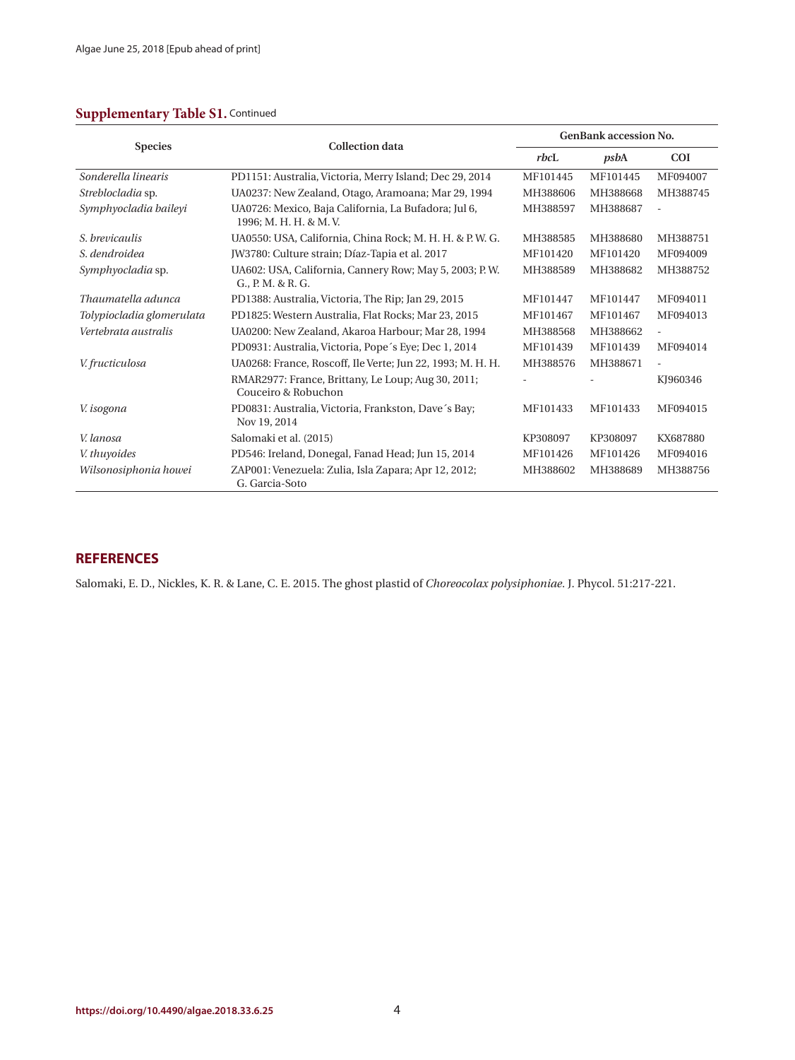#### **Supplementary Table S1.** Continued

| <b>Species</b>            | <b>Collection data</b>                                                         | <b>GenBank accession No.</b> |          |                          |
|---------------------------|--------------------------------------------------------------------------------|------------------------------|----------|--------------------------|
|                           |                                                                                | rbc                          | psbA     | <b>COI</b>               |
| Sonderella linearis       | PD1151: Australia, Victoria, Merry Island; Dec 29, 2014                        | MF101445                     | MF101445 | MF094007                 |
| Streblocladia sp.         | UA0237: New Zealand, Otago, Aramoana; Mar 29, 1994                             | MH388606                     | MH388668 | MH388745                 |
| Symphyocladia baileyi     | UA0726: Mexico, Baja California, La Bufadora; Jul 6,<br>1996; M. H. H. & M. V. | MH388597                     | MH388687 | $\overline{\phantom{a}}$ |
| S. brevicaulis            | UA0550: USA, California, China Rock; M. H. H. & P. W. G.                       | MH388585                     | MH388680 | MH388751                 |
| S. dendroidea             | JW3780: Culture strain; Díaz-Tapia et al. 2017                                 | MF101420                     | MF101420 | MF094009                 |
| Symphyocladia sp.         | UA602: USA, California, Cannery Row; May 5, 2003; P.W.<br>G., P. M. & R. G.    | MH388589                     | MH388682 | MH388752                 |
| Thaumatella adunca        | PD1388: Australia, Victoria, The Rip; Jan 29, 2015                             | MF101447                     | MF101447 | MF094011                 |
| Tolypiocladia glomerulata | PD1825: Western Australia, Flat Rocks; Mar 23, 2015                            | MF101467                     | MF101467 | MF094013                 |
| Vertebrata australis      | UA0200: New Zealand, Akaroa Harbour; Mar 28, 1994                              | MH388568                     | MH388662 | $\overline{\phantom{0}}$ |
|                           | PD0931: Australia, Victoria, Pope's Eye; Dec 1, 2014                           | MF101439                     | MF101439 | MF094014                 |
| V. fructiculosa           | UA0268: France, Roscoff, Ile Verte; Jun 22, 1993; M. H. H.                     | MH388576                     | MH388671 | $\frac{1}{2}$            |
|                           | RMAR2977: France, Brittany, Le Loup; Aug 30, 2011;<br>Couceiro & Robuchon      |                              |          | KJ960346                 |
| V. isogona                | PD0831: Australia, Victoria, Frankston, Dave's Bay;<br>Nov 19, 2014            | MF101433                     | MF101433 | MF094015                 |
| V. lanosa                 | Salomaki et al. (2015)                                                         | KP308097                     | KP308097 | KX687880                 |
| V. thuyoides              | PD546: Ireland, Donegal, Fanad Head; Jun 15, 2014                              | MF101426                     | MF101426 | MF094016                 |
| Wilsonosiphonia howei     | ZAP001: Venezuela: Zulia, Isla Zapara; Apr 12, 2012;<br>G. Garcia-Soto         | MH388602                     | MH388689 | MH388756                 |

#### **REFERENCES**

Salomaki, E. D., Nickles, K. R. & Lane, C. E. 2015. The ghost plastid of *Choreocolax polysiphoniae*. J. Phycol. 51:217-221.